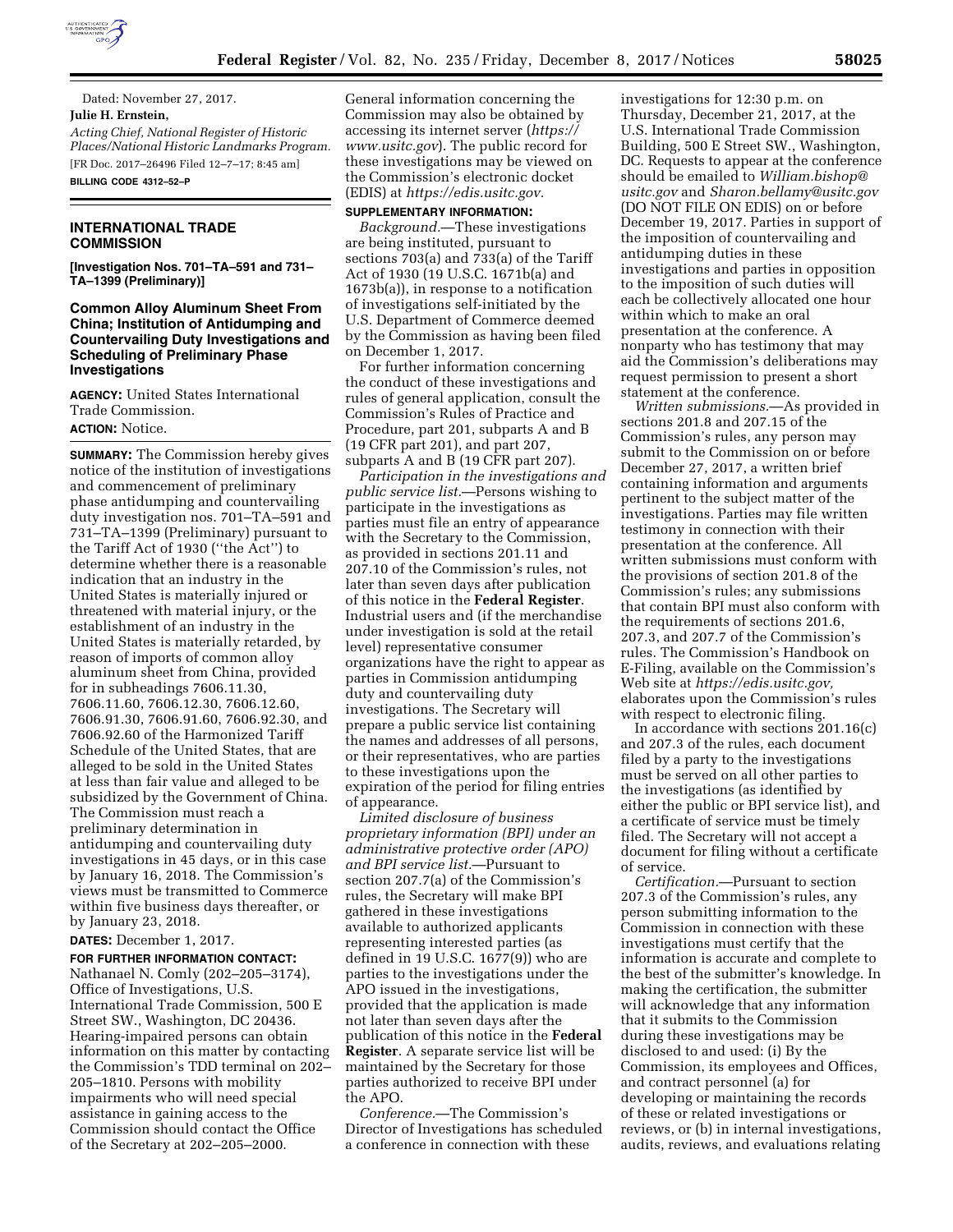

Dated: November 27, 2017. **Julie H. Ernstein,**  *Acting Chief, National Register of Historic Places/National Historic Landmarks Program.*  [FR Doc. 2017–26496 Filed 12–7–17; 8:45 am] **BILLING CODE 4312–52–P** 

# **INTERNATIONAL TRADE COMMISSION**

**[Investigation Nos. 701–TA–591 and 731– TA–1399 (Preliminary)]** 

# **Common Alloy Aluminum Sheet From China; Institution of Antidumping and Countervailing Duty Investigations and Scheduling of Preliminary Phase Investigations**

**AGENCY:** United States International Trade Commission. **ACTION:** Notice.

**SUMMARY:** The Commission hereby gives notice of the institution of investigations and commencement of preliminary phase antidumping and countervailing duty investigation nos. 701–TA–591 and 731–TA–1399 (Preliminary) pursuant to the Tariff Act of 1930 (''the Act'') to determine whether there is a reasonable indication that an industry in the United States is materially injured or threatened with material injury, or the establishment of an industry in the United States is materially retarded, by reason of imports of common alloy aluminum sheet from China, provided for in subheadings 7606.11.30, 7606.11.60, 7606.12.30, 7606.12.60, 7606.91.30, 7606.91.60, 7606.92.30, and 7606.92.60 of the Harmonized Tariff Schedule of the United States, that are alleged to be sold in the United States at less than fair value and alleged to be subsidized by the Government of China. The Commission must reach a preliminary determination in antidumping and countervailing duty investigations in 45 days, or in this case by January 16, 2018. The Commission's views must be transmitted to Commerce within five business days thereafter, or by January 23, 2018.

**DATES:** December 1, 2017.

### **FOR FURTHER INFORMATION CONTACT:**

Nathanael N. Comly (202–205–3174), Office of Investigations, U.S. International Trade Commission, 500 E Street SW., Washington, DC 20436. Hearing-impaired persons can obtain information on this matter by contacting the Commission's TDD terminal on 202– 205–1810. Persons with mobility impairments who will need special assistance in gaining access to the Commission should contact the Office of the Secretary at 202–205–2000.

General information concerning the Commission may also be obtained by accessing its internet server (*[https://](https://www.usitc.gov) [www.usitc.gov](https://www.usitc.gov)*). The public record for these investigations may be viewed on the Commission's electronic docket (EDIS) at *[https://edis.usitc.gov.](https://edis.usitc.gov)* 

## **SUPPLEMENTARY INFORMATION:**

*Background.*—These investigations are being instituted, pursuant to sections 703(a) and 733(a) of the Tariff Act of 1930 (19 U.S.C. 1671b(a) and 1673b(a)), in response to a notification of investigations self-initiated by the U.S. Department of Commerce deemed by the Commission as having been filed on December 1, 2017.

For further information concerning the conduct of these investigations and rules of general application, consult the Commission's Rules of Practice and Procedure, part 201, subparts A and B (19 CFR part 201), and part 207, subparts A and B (19 CFR part 207).

*Participation in the investigations and public service list.*—Persons wishing to participate in the investigations as parties must file an entry of appearance with the Secretary to the Commission, as provided in sections 201.11 and 207.10 of the Commission's rules, not later than seven days after publication of this notice in the **Federal Register**. Industrial users and (if the merchandise under investigation is sold at the retail level) representative consumer organizations have the right to appear as parties in Commission antidumping duty and countervailing duty investigations. The Secretary will prepare a public service list containing the names and addresses of all persons, or their representatives, who are parties to these investigations upon the expiration of the period for filing entries of appearance.

*Limited disclosure of business proprietary information (BPI) under an administrative protective order (APO) and BPI service list.*—Pursuant to section 207.7(a) of the Commission's rules, the Secretary will make BPI gathered in these investigations available to authorized applicants representing interested parties (as defined in 19 U.S.C. 1677(9)) who are parties to the investigations under the APO issued in the investigations, provided that the application is made not later than seven days after the publication of this notice in the **Federal Register**. A separate service list will be maintained by the Secretary for those parties authorized to receive BPI under the APO.

*Conference.*—The Commission's Director of Investigations has scheduled a conference in connection with these

investigations for 12:30 p.m. on Thursday, December 21, 2017, at the U.S. International Trade Commission Building, 500 E Street SW., Washington, DC. Requests to appear at the conference should be emailed to *[William.bishop@](mailto:William.bishop@usitc.gov) [usitc.gov](mailto:William.bishop@usitc.gov)* and *[Sharon.bellamy@usitc.gov](mailto:Sharon.bellamy@usitc.gov)*  (DO NOT FILE ON EDIS) on or before December 19, 2017. Parties in support of the imposition of countervailing and antidumping duties in these investigations and parties in opposition to the imposition of such duties will each be collectively allocated one hour within which to make an oral presentation at the conference. A nonparty who has testimony that may aid the Commission's deliberations may request permission to present a short statement at the conference.

*Written submissions.*—As provided in sections 201.8 and 207.15 of the Commission's rules, any person may submit to the Commission on or before December 27, 2017, a written brief containing information and arguments pertinent to the subject matter of the investigations. Parties may file written testimony in connection with their presentation at the conference. All written submissions must conform with the provisions of section 201.8 of the Commission's rules; any submissions that contain BPI must also conform with the requirements of sections 201.6, 207.3, and 207.7 of the Commission's rules. The Commission's Handbook on E-Filing, available on the Commission's Web site at *[https://edis.usitc.gov,](https://edis.usitc.gov)*  elaborates upon the Commission's rules with respect to electronic filing.

In accordance with sections 201.16(c) and 207.3 of the rules, each document filed by a party to the investigations must be served on all other parties to the investigations (as identified by either the public or BPI service list), and a certificate of service must be timely filed. The Secretary will not accept a document for filing without a certificate of service.

*Certification.*—Pursuant to section 207.3 of the Commission's rules, any person submitting information to the Commission in connection with these investigations must certify that the information is accurate and complete to the best of the submitter's knowledge. In making the certification, the submitter will acknowledge that any information that it submits to the Commission during these investigations may be disclosed to and used: (i) By the Commission, its employees and Offices, and contract personnel (a) for developing or maintaining the records of these or related investigations or reviews, or (b) in internal investigations, audits, reviews, and evaluations relating